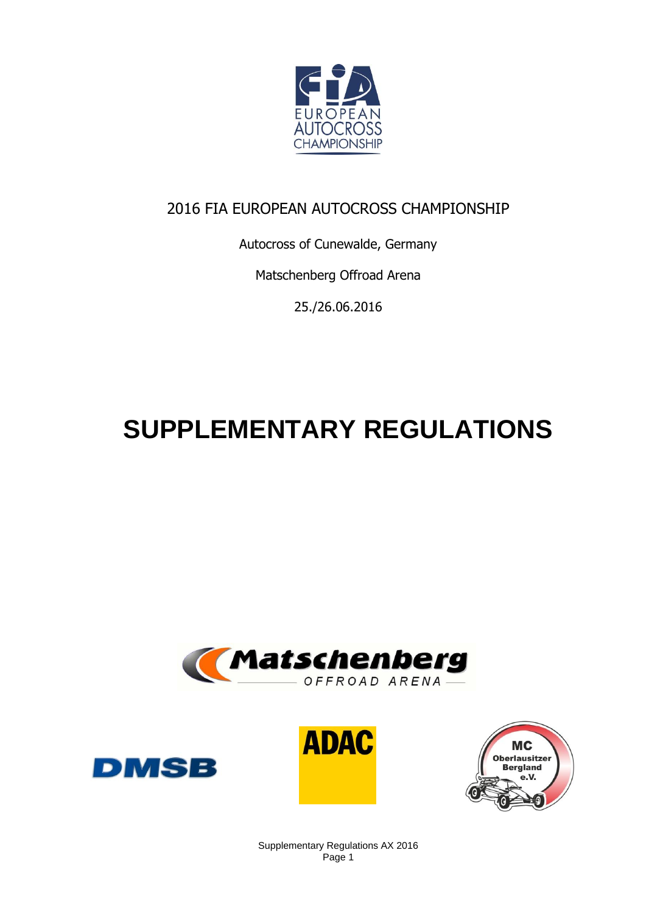

# 2016 FIA EUROPEAN AUTOCROSS CHAMPIONSHIP

Autocross of Cunewalde, Germany

Matschenberg Offroad Arena

25./26.06.2016

# **SUPPLEMENTARY REGULATIONS**









Supplementary Regulations AX 2016 Page 1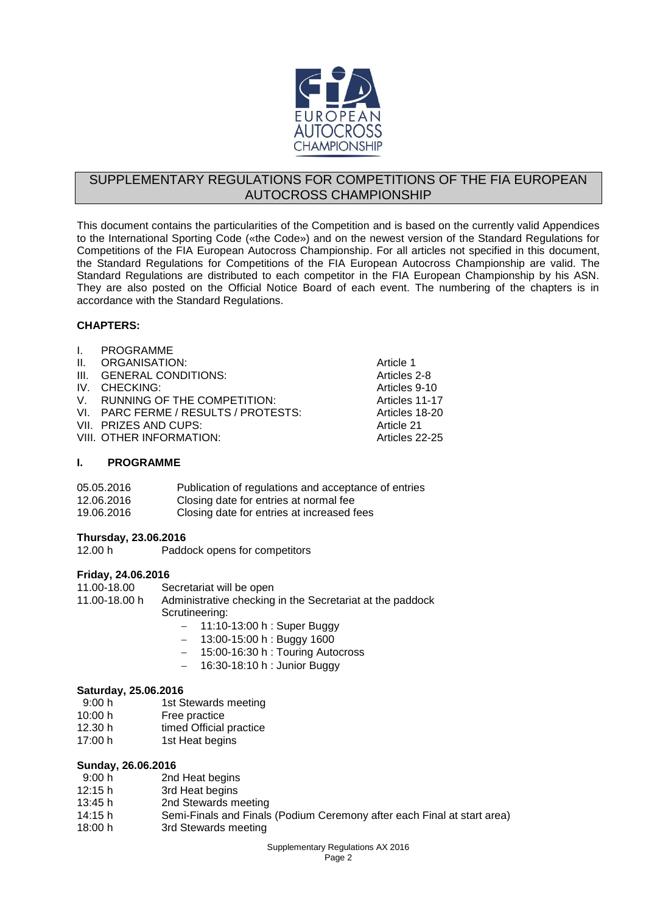

# SUPPLEMENTARY REGULATIONS FOR COMPETITIONS OF THE FIA EUROPEAN AUTOCROSS CHAMPIONSHIP

This document contains the particularities of the Competition and is based on the currently valid Appendices to the International Sporting Code («the Code») and on the newest version of the Standard Regulations for Competitions of the FIA European Autocross Championship. For all articles not specified in this document, the Standard Regulations for Competitions of the FIA European Autocross Championship are valid. The Standard Regulations are distributed to each competitor in the FIA European Championship by his ASN. They are also posted on the Official Notice Board of each event. The numbering of the chapters is in accordance with the Standard Regulations.

# **CHAPTERS:**

| $\mathbf{L}$    | <b>PROGRAMME</b>                     |                |
|-----------------|--------------------------------------|----------------|
| $\mathbf{II}$ . | ORGANISATION:                        | Article 1      |
|                 | III. GENERAL CONDITIONS:             | Articles 2-8   |
|                 | IV. CHECKING:                        | Articles 9-10  |
|                 | V. RUNNING OF THE COMPETITION:       | Articles 11-17 |
|                 | VI. PARC FERME / RESULTS / PROTESTS: | Articles 18-20 |
|                 | VII. PRIZES AND CUPS:                | Article 21     |
|                 | VIII. OTHER INFORMATION:             | Articles 22-25 |
|                 |                                      |                |

# **I. PROGRAMME**

| 05.05.2016 | Publication of regulations and acceptance of entries |
|------------|------------------------------------------------------|
| 12.06.2016 | Closing date for entries at normal fee               |
| 19.06.2016 | Closing date for entries at increased fees           |

# **Thursday, 23.06.2016**

12.00 h Paddock opens for competitors

# **Friday, 24.06.2016**

11.00-18.00 Secretariat will be open

# 11.00-18.00 h Administrative checking in the Secretariat at the paddock Scrutineering:

- 11:10-13:00 h : Super Buggy
- $-$  13:00-15:00 h : Buggy 1600
- 15:00-16:30 h : Touring Autocross
- 16:30-18:10 h : Junior Buggy

# **Saturday, 25.06.2016**

- 9:00 h 1st Stewards meeting
- 10:00 h Free practice
- 12.30 h timed Official practice
- 17:00 h 1st Heat begins

# **Sunday, 26.06.2016**

- 9:00 h 2nd Heat begins<br>12:15 h 3rd Heat begins
- 12:15 h 3rd Heat begins<br>13:45 h 2nd Stewards m
- 2nd Stewards meeting
- 14:15 h Semi-Finals and Finals (Podium Ceremony after each Final at start area)
- 18:00 h 3rd Stewards meeting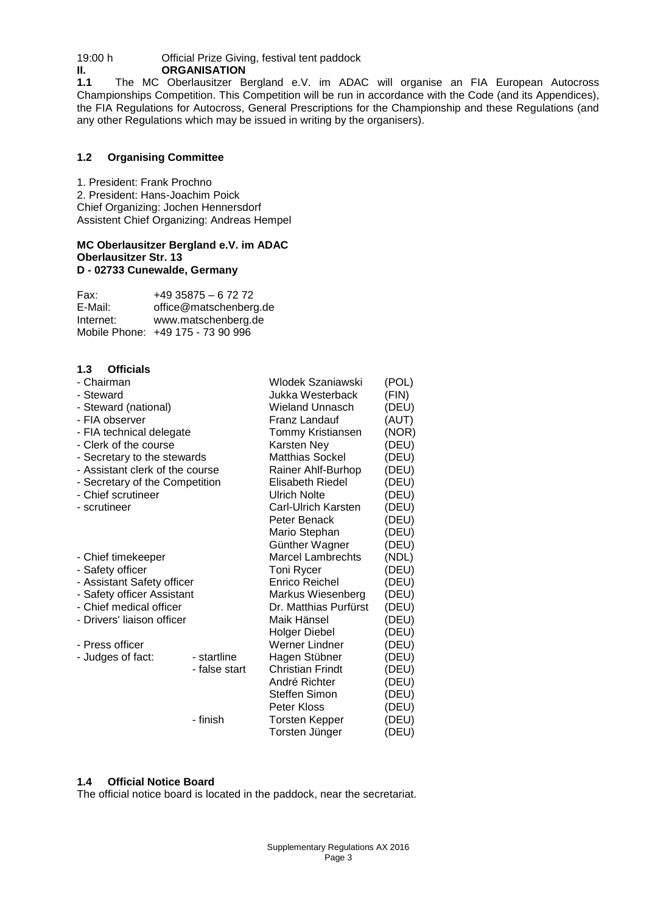19:00 h Official Prize Giving, festival tent paddock

**II. ORGANISATION**<br>**1.1** The MC Oberlausitzer B **1.1** The MC Oberlausitzer Bergland e.V. im ADAC will organise an FIA European Autocross Championships Competition. This Competition will be run in accordance with the Code (and its Appendices), the FIA Regulations for Autocross, General Prescriptions for the Championship and these Regulations (and any other Regulations which may be issued in writing by the organisers).

# **1.2 Organising Committee**

1. President: Frank Prochno 2. President: Hans-Joachim Poick Chief Organizing: Jochen Hennersdorf Assistent Chief Organizing: Andreas Hempel

#### **MC Oberlausitzer Bergland e.V. im ADAC Oberlausitzer Str. 13 D - 02733 Cunewalde, Germany**

| Fax:      | $+49$ 35875 - 6 72 72             |
|-----------|-----------------------------------|
| E-Mail:   | office@matschenberg.de            |
| Internet: | www.matschenberg.de               |
|           | Mobile Phone: +49 175 - 73 90 996 |

# **1.3 Officials**

| - Chairman                      |               | Wlodek Szaniawski        | (POL) |
|---------------------------------|---------------|--------------------------|-------|
| - Steward                       |               | Jukka Westerback         | (FIN) |
| - Steward (national)            |               | Wieland Unnasch          | (DEU) |
| - FIA observer                  |               | Franz Landauf            | (AUT) |
| - FIA technical delegate        |               | Tommy Kristiansen        | (NOR) |
| - Clerk of the course           |               | Karsten Ney              | (DEU) |
| - Secretary to the stewards     |               | <b>Matthias Sockel</b>   | (DEU) |
| - Assistant clerk of the course |               | Rainer Ahlf-Burhop       | (DEU) |
| - Secretary of the Competition  |               | Elisabeth Riedel         | (DEU) |
| - Chief scrutineer              |               | <b>Ulrich Nolte</b>      | (DEU) |
| - scrutineer                    |               | Carl-Ulrich Karsten      | (DEU) |
|                                 |               | Peter Benack             | (DEU) |
|                                 |               | Mario Stephan            | (DEU) |
|                                 |               | Günther Wagner           | (DEU) |
| - Chief timekeeper              |               | <b>Marcel Lambrechts</b> | (NDL) |
| - Safety officer                |               | Toni Rycer               | (DEU) |
| - Assistant Safety officer      |               | <b>Enrico Reichel</b>    | (DEU) |
| - Safety officer Assistant      |               | Markus Wiesenberg        | (DEU) |
| - Chief medical officer         |               | Dr. Matthias Purfürst    | (DEU) |
| - Drivers' liaison officer      |               | Maik Hänsel              | (DEU) |
|                                 |               | Holger Diebel            | (DEU) |
| - Press officer                 |               | Werner Lindner           | (DEU) |
| - Judges of fact:               | - startline   | Hagen Stübner            | (DEU) |
|                                 | - false start | <b>Christian Frindt</b>  | (DEU) |
|                                 |               | André Richter            | (DEU) |
|                                 |               | <b>Steffen Simon</b>     | (DEU) |
|                                 |               | Peter Kloss              | (DEU) |
|                                 | - finish      | <b>Torsten Kepper</b>    | (DEU) |
|                                 |               | Torsten Jünger           | (DEU) |

# **1.4 Official Notice Board**

The official notice board is located in the paddock, near the secretariat.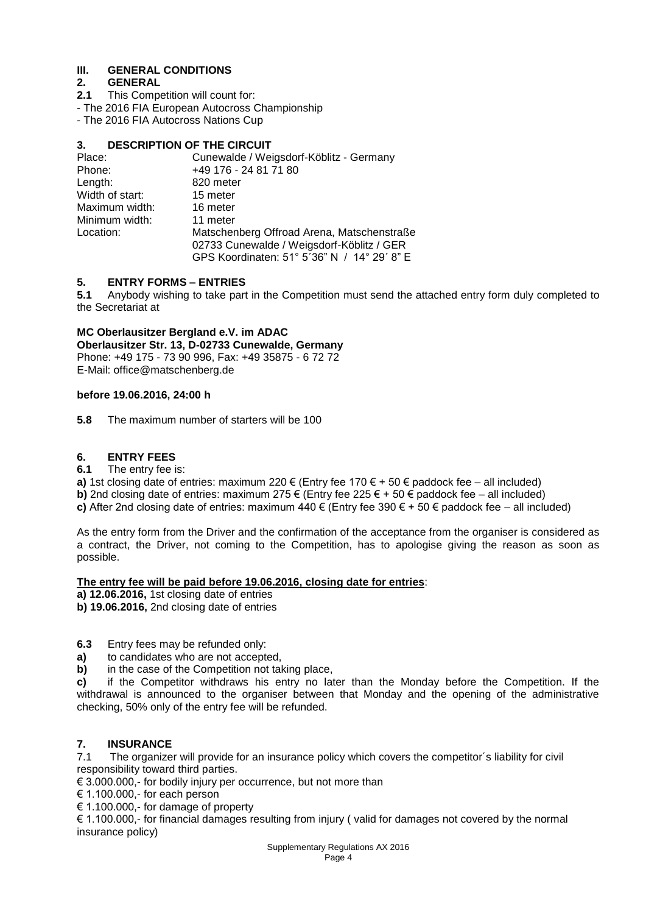# **III. GENERAL CONDITIONS**

# **2. GENERAL**

- **2.1** This Competition will count for:
- The 2016 FIA European Autocross Championship

- The 2016 FIA Autocross Nations Cup

# **3. DESCRIPTION OF THE CIRCUIT**

| Place:          | Cunewalde / Weigsdorf-Köblitz - Germany                                                                                                |
|-----------------|----------------------------------------------------------------------------------------------------------------------------------------|
| Phone:          | +49 176 - 24 81 71 80                                                                                                                  |
| Length:         | 820 meter                                                                                                                              |
| Width of start: | 15 meter                                                                                                                               |
| Maximum width:  | 16 meter                                                                                                                               |
| Minimum width:  | 11 meter                                                                                                                               |
| Location:       | Matschenberg Offroad Arena, Matschenstraße<br>02733 Cunewalde / Weigsdorf-Köblitz / GER<br>GPS Koordinaten: 51° 5'36" N / 14° 29' 8" E |

# **5. ENTRY FORMS – ENTRIES**

**5.1** Anybody wishing to take part in the Competition must send the attached entry form duly completed to the Secretariat at

**MC Oberlausitzer Bergland e.V. im ADAC Oberlausitzer Str. 13, D-02733 Cunewalde, Germany** Phone: +49 175 - 73 90 996, Fax: +49 35875 - 6 72 72 E-Mail: office@matschenberg.de

#### **before 19.06.2016, 24:00 h**

**5.8** The maximum number of starters will be 100

# **6. ENTRY FEES**

# **6.1** The entry fee is:

**a)** 1st closing date of entries: maximum 220 € (Entry fee 170 € + 50 € paddock fee – all included) **b)** 2nd closing date of entries: maximum 275  $\epsilon$  (Entry fee 225  $\epsilon$  + 50  $\epsilon$  paddock fee – all included)

**c)** After 2nd closing date of entries: maximum  $440 \in (Entry$  fee  $390 \in +50 \in$  paddock fee – all included)

As the entry form from the Driver and the confirmation of the acceptance from the organiser is considered as a contract, the Driver, not coming to the Competition, has to apologise giving the reason as soon as possible.

#### **The entry fee will be paid before 19.06.2016, closing date for entries**:

**a) 12.06.2016,** 1st closing date of entries

**b) 19.06.2016,** 2nd closing date of entries

**6.3** Entry fees may be refunded only:

- **a)** to candidates who are not accepted,
- **b)** in the case of the Competition not taking place,

**c)** if the Competitor withdraws his entry no later than the Monday before the Competition. If the withdrawal is announced to the organiser between that Monday and the opening of the administrative checking, 50% only of the entry fee will be refunded.

# **7. INSURANCE**

7.1 The organizer will provide for an insurance policy which covers the competitor´s liability for civil responsibility toward third parties.

 $\epsilon$  3.000.000,- for bodily injury per occurrence, but not more than

€ 1.100.000,- for each person

€ 1.100.000,- for damage of property

€ 1.100.000,- for financial damages resulting from injury ( valid for damages not covered by the normal insurance policy)

> Supplementary Regulations AX 2016 Page 4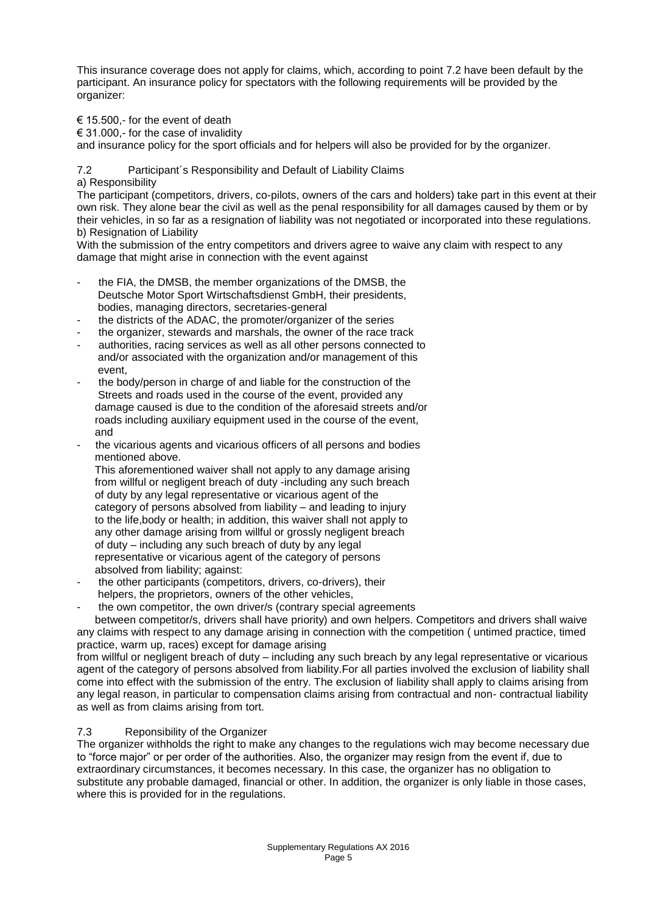This insurance coverage does not apply for claims, which, according to point 7.2 have been default by the participant. An insurance policy for spectators with the following requirements will be provided by the organizer:

€ 15.500,- for the event of death

 $\in$  31.000,- for the case of invalidity

and insurance policy for the sport officials and for helpers will also be provided for by the organizer.

7.2 Participant´s Responsibility and Default of Liability Claims a) Responsibility

The participant (competitors, drivers, co-pilots, owners of the cars and holders) take part in this event at their own risk. They alone bear the civil as well as the penal responsibility for all damages caused by them or by their vehicles, in so far as a resignation of liability was not negotiated or incorporated into these regulations. b) Resignation of Liability

With the submission of the entry competitors and drivers agree to waive any claim with respect to any damage that might arise in connection with the event against

- the FIA, the DMSB, the member organizations of the DMSB, the Deutsche Motor Sport Wirtschaftsdienst GmbH, their presidents, bodies, managing directors, secretaries-general
- the districts of the ADAC, the promoter/organizer of the series
- the organizer, stewards and marshals, the owner of the race track
- authorities, racing services as well as all other persons connected to and/or associated with the organization and/or management of this event
- the body/person in charge of and liable for the construction of the Streets and roads used in the course of the event, provided any damage caused is due to the condition of the aforesaid streets and/or roads including auxiliary equipment used in the course of the event, and
- the vicarious agents and vicarious officers of all persons and bodies mentioned above.

 This aforementioned waiver shall not apply to any damage arising from willful or negligent breach of duty -including any such breach of duty by any legal representative or vicarious agent of the category of persons absolved from liability – and leading to injury to the life,body or health; in addition, this waiver shall not apply to any other damage arising from willful or grossly negligent breach of duty – including any such breach of duty by any legal representative or vicarious agent of the category of persons absolved from liability; against:

- the other participants (competitors, drivers, co-drivers), their helpers, the proprietors, owners of the other vehicles,
- the own competitor, the own driver/s (contrary special agreements

 between competitor/s, drivers shall have priority) and own helpers. Competitors and drivers shall waive any claims with respect to any damage arising in connection with the competition ( untimed practice, timed practice, warm up, races) except for damage arising

from willful or negligent breach of duty – including any such breach by any legal representative or vicarious agent of the category of persons absolved from liability.For all parties involved the exclusion of liability shall come into effect with the submission of the entry. The exclusion of liability shall apply to claims arising from any legal reason, in particular to compensation claims arising from contractual and non- contractual liability as well as from claims arising from tort.

# 7.3 Reponsibility of the Organizer

The organizer withholds the right to make any changes to the regulations wich may become necessary due to "force major" or per order of the authorities. Also, the organizer may resign from the event if, due to extraordinary circumstances, it becomes necessary. In this case, the organizer has no obligation to substitute any probable damaged, financial or other. In addition, the organizer is only liable in those cases, where this is provided for in the regulations.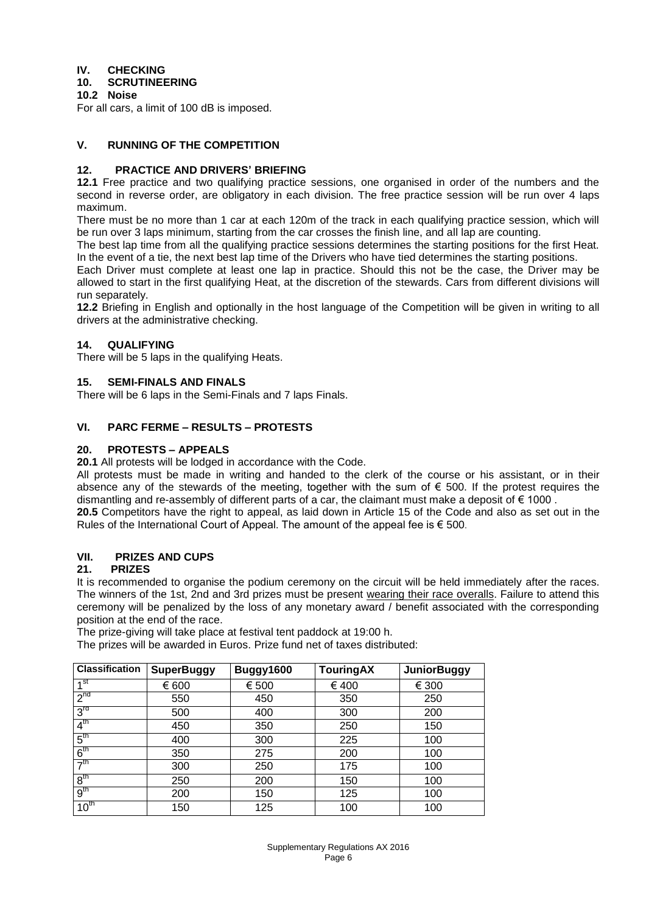# **IV. CHECKING**

# **10. SCRUTINEERING**

**10.2 Noise**

For all cars, a limit of 100 dB is imposed.

# **V. RUNNING OF THE COMPETITION**

# **12. PRACTICE AND DRIVERS' BRIEFING**

**12.1** Free practice and two qualifying practice sessions, one organised in order of the numbers and the second in reverse order, are obligatory in each division. The free practice session will be run over 4 laps maximum.

There must be no more than 1 car at each 120m of the track in each qualifying practice session, which will be run over 3 laps minimum, starting from the car crosses the finish line, and all lap are counting.

The best lap time from all the qualifying practice sessions determines the starting positions for the first Heat. In the event of a tie, the next best lap time of the Drivers who have tied determines the starting positions.

Each Driver must complete at least one lap in practice. Should this not be the case, the Driver may be allowed to start in the first qualifying Heat, at the discretion of the stewards. Cars from different divisions will run separately.

**12.2** Briefing in English and optionally in the host language of the Competition will be given in writing to all drivers at the administrative checking.

# **14. QUALIFYING**

There will be 5 laps in the qualifying Heats.

# **15. SEMI-FINALS AND FINALS**

There will be 6 laps in the Semi-Finals and 7 laps Finals.

# **VI. PARC FERME – RESULTS – PROTESTS**

# **20. PROTESTS – APPEALS**

**20.1** All protests will be lodged in accordance with the Code.

All protests must be made in writing and handed to the clerk of the course or his assistant, or in their absence any of the stewards of the meeting, together with the sum of  $\epsilon$  500. If the protest requires the dismantling and re-assembly of different parts of a car, the claimant must make a deposit of  $\epsilon$  1000.

**20.5** Competitors have the right to appeal, as laid down in Article 15 of the Code and also as set out in the Rules of the International Court of Appeal. The amount of the appeal fee is  $\epsilon$  500.

# **VII. PRIZES AND CUPS**

#### **21. PRIZES**

It is recommended to organise the podium ceremony on the circuit will be held immediately after the races. The winners of the 1st, 2nd and 3rd prizes must be present wearing their race overalls. Failure to attend this ceremony will be penalized by the loss of any monetary award / benefit associated with the corresponding position at the end of the race.

The prize-giving will take place at festival tent paddock at 19:00 h.

The prizes will be awarded in Euros. Prize fund net of taxes distributed:

| <b>Classification</b> | <b>SuperBuggy</b> | Buggy1600 | <b>TouringAX</b> | <b>JuniorBuggy</b> |
|-----------------------|-------------------|-----------|------------------|--------------------|
| 4 <sup>St</sup>       | € 600             | € 500     | € 400            | € 300              |
| $2^{nd}$              | 550               | 450       | 350              | 250                |
| 3 <sup>rd</sup>       | 500               | 400       | 300              | 200                |
| 4 <sup>th</sup>       | 450               | 350       | 250              | 150                |
| $5^{\mathsf{tn}}$     | 400               | 300       | 225              | 100                |
| 6 <sup>th</sup>       | 350               | 275       | 200              | 100                |
| 7 <sup>th</sup>       | 300               | 250       | 175              | 100                |
| 8 <sup>th</sup>       | 250               | 200       | 150              | 100                |
| 9 <sup>th</sup>       | 200               | 150       | 125              | 100                |
| 10 <sup>th</sup>      | 150               | 125       | 100              | 100                |